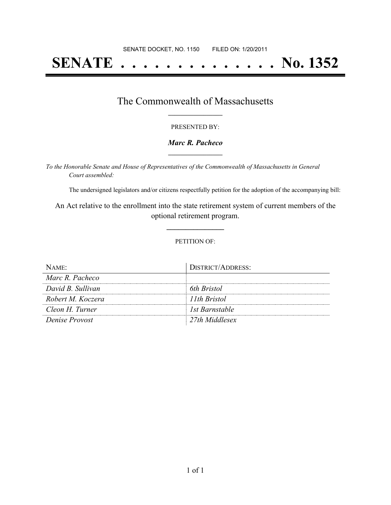# **SENATE . . . . . . . . . . . . . . No. 1352**

## The Commonwealth of Massachusetts **\_\_\_\_\_\_\_\_\_\_\_\_\_\_\_\_\_**

#### PRESENTED BY:

#### *Marc R. Pacheco* **\_\_\_\_\_\_\_\_\_\_\_\_\_\_\_\_\_**

*To the Honorable Senate and House of Representatives of the Commonwealth of Massachusetts in General Court assembled:*

The undersigned legislators and/or citizens respectfully petition for the adoption of the accompanying bill:

An Act relative to the enrollment into the state retirement system of current members of the optional retirement program.

**\_\_\_\_\_\_\_\_\_\_\_\_\_\_\_**

#### PETITION OF:

| Name:             | DISTRICT/ADDRESS: |
|-------------------|-------------------|
| Marc R. Pacheco   |                   |
| David B. Sullivan | 6th Bristol       |
| Robert M. Koczera | 11th Bristol      |
| Cleon H. Turner   | 1st Barnstable    |
| Denise Provost    | 27th Middlesex    |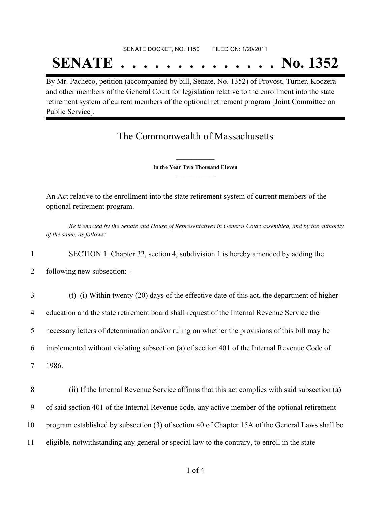### SENATE DOCKET, NO. 1150 FILED ON: 1/20/2011

## **SENATE . . . . . . . . . . . . . . No. 1352**

By Mr. Pacheco, petition (accompanied by bill, Senate, No. 1352) of Provost, Turner, Koczera and other members of the General Court for legislation relative to the enrollment into the state retirement system of current members of the optional retirement program [Joint Committee on Public Service].

## The Commonwealth of Massachusetts

**\_\_\_\_\_\_\_\_\_\_\_\_\_\_\_ In the Year Two Thousand Eleven \_\_\_\_\_\_\_\_\_\_\_\_\_\_\_**

An Act relative to the enrollment into the state retirement system of current members of the optional retirement program.

Be it enacted by the Senate and House of Representatives in General Court assembled, and by the authority *of the same, as follows:*

1 SECTION 1. Chapter 32, section 4, subdivision 1 is hereby amended by adding the

2 following new subsection: -

 (t) (i) Within twenty (20) days of the effective date of this act, the department of higher education and the state retirement board shall request of the Internal Revenue Service the necessary letters of determination and/or ruling on whether the provisions of this bill may be implemented without violating subsection (a) of section 401 of the Internal Revenue Code of 7 1986.

 (ii) If the Internal Revenue Service affirms that this act complies with said subsection (a) of said section 401 of the Internal Revenue code, any active member of the optional retirement program established by subsection (3) of section 40 of Chapter 15A of the General Laws shall be eligible, notwithstanding any general or special law to the contrary, to enroll in the state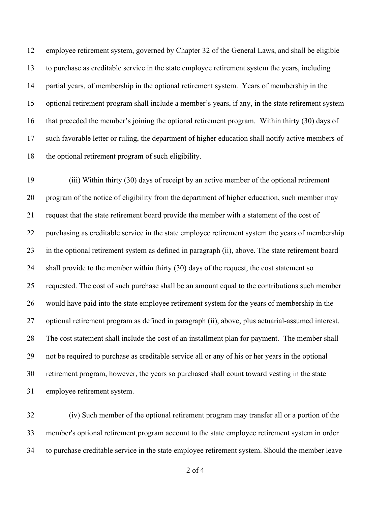employee retirement system, governed by Chapter 32 of the General Laws, and shall be eligible to purchase as creditable service in the state employee retirement system the years, including partial years, of membership in the optional retirement system. Years of membership in the optional retirement program shall include a member's years, if any, in the state retirement system that preceded the member's joining the optional retirement program. Within thirty (30) days of such favorable letter or ruling, the department of higher education shall notify active members of the optional retirement program of such eligibility.

 (iii) Within thirty (30) days of receipt by an active member of the optional retirement program of the notice of eligibility from the department of higher education, such member may request that the state retirement board provide the member with a statement of the cost of purchasing as creditable service in the state employee retirement system the years of membership in the optional retirement system as defined in paragraph (ii), above. The state retirement board shall provide to the member within thirty (30) days of the request, the cost statement so requested. The cost of such purchase shall be an amount equal to the contributions such member would have paid into the state employee retirement system for the years of membership in the optional retirement program as defined in paragraph (ii), above, plus actuarial-assumed interest. The cost statement shall include the cost of an installment plan for payment. The member shall not be required to purchase as creditable service all or any of his or her years in the optional retirement program, however, the years so purchased shall count toward vesting in the state employee retirement system.

 (iv) Such member of the optional retirement program may transfer all or a portion of the member's optional retirement program account to the state employee retirement system in order to purchase creditable service in the state employee retirement system. Should the member leave

of 4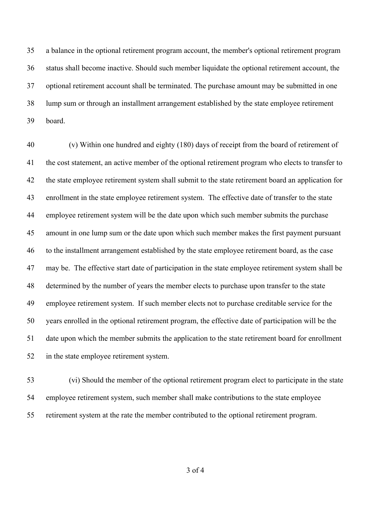a balance in the optional retirement program account, the member's optional retirement program status shall become inactive. Should such member liquidate the optional retirement account, the optional retirement account shall be terminated. The purchase amount may be submitted in one lump sum or through an installment arrangement established by the state employee retirement board.

 (v) Within one hundred and eighty (180) days of receipt from the board of retirement of the cost statement, an active member of the optional retirement program who elects to transfer to the state employee retirement system shall submit to the state retirement board an application for enrollment in the state employee retirement system. The effective date of transfer to the state employee retirement system will be the date upon which such member submits the purchase amount in one lump sum or the date upon which such member makes the first payment pursuant to the installment arrangement established by the state employee retirement board, as the case may be. The effective start date of participation in the state employee retirement system shall be determined by the number of years the member elects to purchase upon transfer to the state employee retirement system. If such member elects not to purchase creditable service for the years enrolled in the optional retirement program, the effective date of participation will be the date upon which the member submits the application to the state retirement board for enrollment in the state employee retirement system.

 (vi) Should the member of the optional retirement program elect to participate in the state employee retirement system, such member shall make contributions to the state employee retirement system at the rate the member contributed to the optional retirement program.